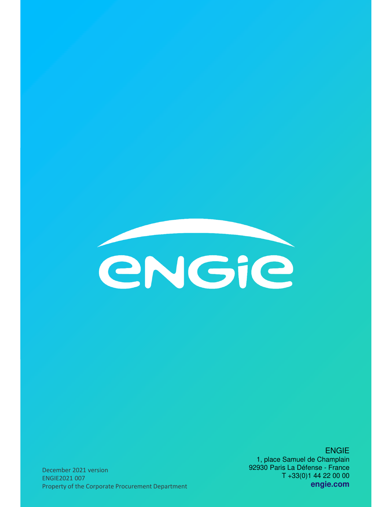

ENGIE 1, place Samuel de Champlain 92930 Paris La Défense - France T +33(0)1 44 22 00 00 **engie.com** 

December 2021 version ENGIE2021 007 Property of the Corporate Procurement Department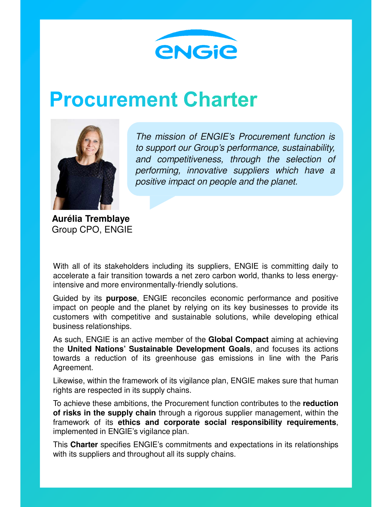

# **Procurement Charter**



The mission of ENGIE's Procurement function is to support our Group's performance, sustainability, and competitiveness, through the selection of performing, innovative suppliers which have a positive impact on people and the planet.

**Aurélia Tremblaye** Group CPO, ENGIE

With all of its stakeholders including its suppliers, ENGIE is committing daily to accelerate a fair transition towards a net zero carbon world, thanks to less energyintensive and more environmentally-friendly solutions.

Guided by its **purpose**, ENGIE reconciles economic performance and positive impact on people and the planet by relying on its key businesses to provide its customers with competitive and sustainable solutions, while developing ethical business relationships.

As such, ENGIE is an active member of the **Global Compact** aiming at achieving the **United Nations' Sustainable Development Goals**, and focuses its actions towards a reduction of its greenhouse gas emissions in line with the Paris Agreement.

Likewise, within the framework of its vigilance plan, ENGIE makes sure that human rights are respected in its supply chains.

To achieve these ambitions, the Procurement function contributes to the **reduction of risks in the supply chain** through a rigorous supplier management, within the framework of its **ethics and corporate social responsibility requirements**, implemented in ENGIE's vigilance plan.

This **Charter** specifies ENGIE's commitments and expectations in its relationships with its suppliers and throughout all its supply chains.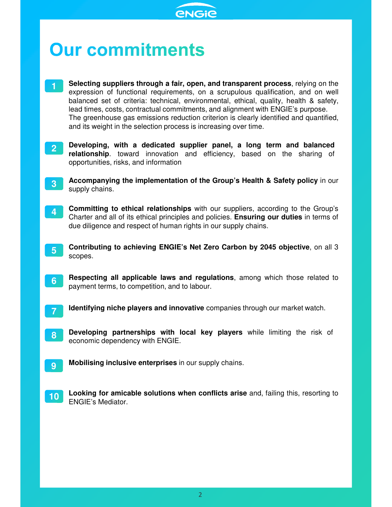

# **Our commitments**

- **1 Selecting suppliers through a fair, open, and transparent process**, relying on the expression of functional requirements, on a scrupulous qualification, and on well balanced set of criteria: technical, environmental, ethical, quality, health & safety, lead times, costs, contractual commitments, and alignment with ENGIE's purpose. The greenhouse gas emissions reduction criterion is clearly identified and quantified, and its weight in the selection process is increasing over time.
- **2 Developing, with a dedicated supplier panel, a long term and balanced relationship**. toward innovation and efficiency, based on the sharing of opportunities, risks, and information
- **3 Accompanying the implementation of the Group's Health & Safety policy** in our supply chains.
- **4 Committing to ethical relationships** with our suppliers, according to the Group's Charter and all of its ethical principles and policies. **Ensuring our duties** in terms of due diligence and respect of human rights in our supply chains.
- **5 Contributing to achieving ENGIE's Net Zero Carbon by 2045 objective**, on all 3 scopes.
- **6 Respecting all applicable laws and regulations**, among which those related to payment terms, to competition, and to labour.
- **7 Identifying niche players and innovative** companies through our market watch.
- **8 Developing partnerships with local key players** while limiting the risk of economic dependency with ENGIE.
- **9 Mobilising inclusive enterprises** in our supply chains.
- **10 Looking for amicable solutions when conflicts arise** and, failing this, resorting to ENGIE's Mediator.